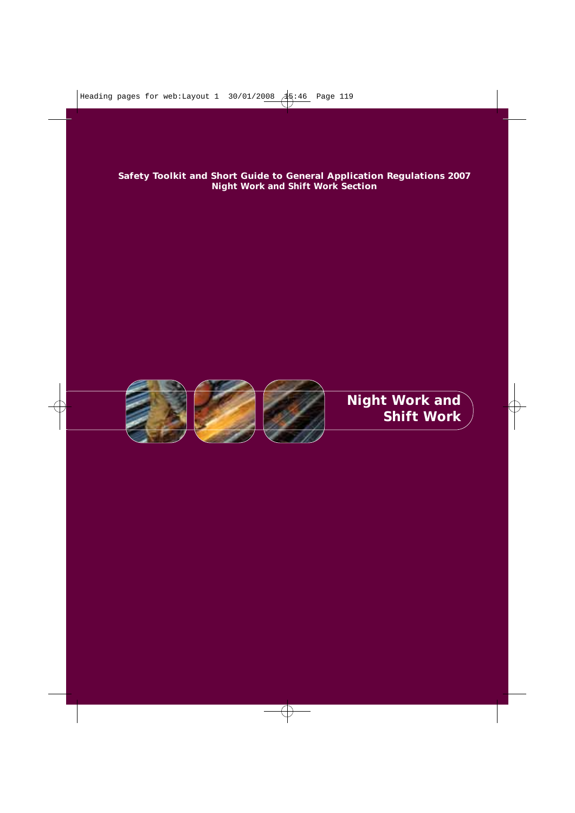#### **Safety Toolkit and Short Guide to General Application Regulations 2007 Night Work and Shift Work Section**

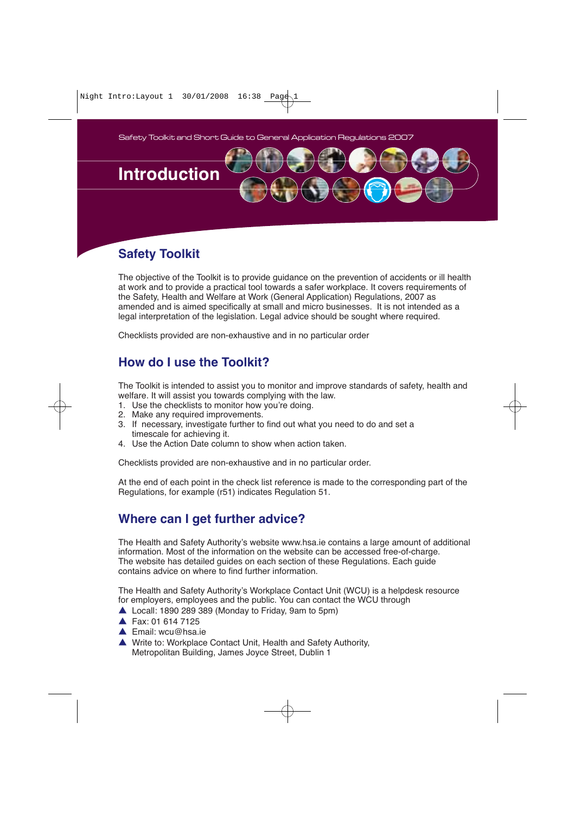Safety Toolkit and Short Guide to General Application Regulations 2007



## **Safety Toolkit**

The objective of the Toolkit is to provide guidance on the prevention of accidents or ill health at work and to provide a practical tool towards a safer workplace. It covers requirements of the Safety, Health and Welfare at Work (General Application) Regulations, 2007 as amended and is aimed specifically at small and micro businesses. It is not intended as a legal interpretation of the legislation. Legal advice should be sought where required.

Checklists provided are non-exhaustive and in no particular order

### **How do I use the Toolkit?**

The Toolkit is intended to assist you to monitor and improve standards of safety, health and welfare. It will assist you towards complying with the law.

- 1. Use the checklists to monitor how you're doing.
- 2. Make any required improvements.
- 3. If necessary, investigate further to find out what you need to do and set a timescale for achieving it.
- 4. Use the Action Date column to show when action taken.

Checklists provided are non-exhaustive and in no particular order.

At the end of each point in the check list reference is made to the corresponding part of the Regulations, for example (r51) indicates Regulation 51.

#### **Where can I get further advice?**

The Health and Safety Authority's website www.hsa.ie contains a large amount of additional information. Most of the information on the website can be accessed free-of-charge. The website has detailed guides on each section of these Regulations. Each guide contains advice on where to find further information.

The Health and Safety Authority's Workplace Contact Unit (WCU) is a helpdesk resource for employers, employees and the public. You can contact the WCU through

- $\triangle$  Locall: 1890 289 389 (Monday to Friday, 9am to 5pm)
- ▲ Fax: 01 614 7125
- ▲ Email: wcu@hsa.ie
- ▲ Write to: Workplace Contact Unit, Health and Safety Authority, Metropolitan Building, James Joyce Street, Dublin 1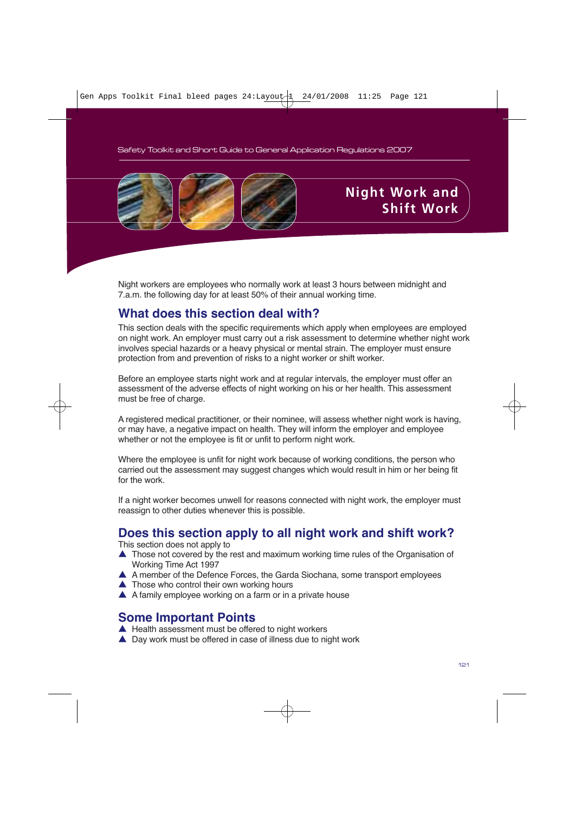

# **Night Work and Shift Work**

Night workers are employees who normally work at least 3 hours between midnight and 7.a.m. the following day for at least 50% of their annual working time.

### **What does this section deal with?**

This section deals with the specific requirements which apply when employees are employed on night work. An employer must carry out a risk assessment to determine whether night work involves special hazards or a heavy physical or mental strain. The employer must ensure protection from and prevention of risks to a night worker or shift worker.

Before an employee starts night work and at regular intervals, the employer must offer an assessment of the adverse effects of night working on his or her health. This assessment must be free of charge.

A registered medical practitioner, or their nominee, will assess whether night work is having, or may have, a negative impact on health. They will inform the employer and employee whether or not the employee is fit or unfit to perform night work.

Where the employee is unfit for night work because of working conditions, the person who carried out the assessment may suggest changes which would result in him or her being fit for the work.

If a night worker becomes unwell for reasons connected with night work, the employer must reassign to other duties whenever this is possible.

### **Does this section apply to all night work and shift work?**

This section does not apply to

- ▲ Those not covered by the rest and maximum working time rules of the Organisation of Working Time Act 1997
- ▲ A member of the Defence Forces, the Garda Siochana, some transport employees
- ▲ Those who control their own working hours
- ▲ A family employee working on a farm or in a private house

#### **Some Important Points**

- $\triangle$  Health assessment must be offered to night workers
- ▲ Day work must be offered in case of illness due to night work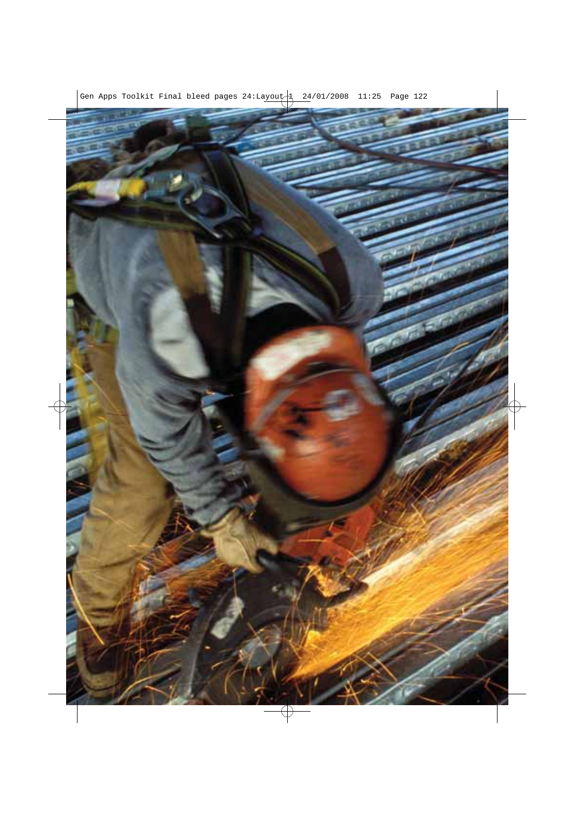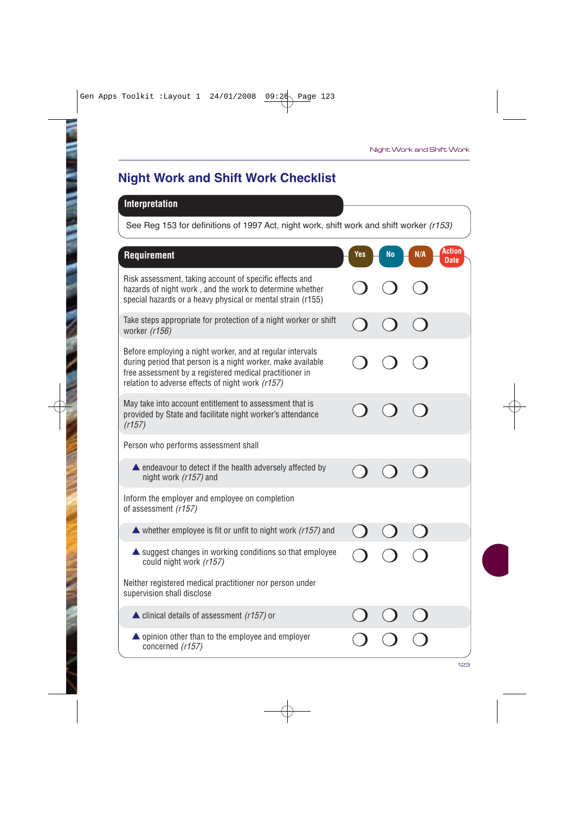# **Night Work and Shift Work Checklist**

#### **Interpretation**

See Reg 153 for definitions of 1997 Act, night work, shift work and shift worker (r153)

| Requirement                                                                                                                                                                                                                             | Yes | N <sub>0</sub> | N/A | Action<br>Date |
|-----------------------------------------------------------------------------------------------------------------------------------------------------------------------------------------------------------------------------------------|-----|----------------|-----|----------------|
| Risk assessment, taking account of specific effects and<br>hazards of night work, and the work to determine whether<br>special hazards or a heavy physical or mental strain (r155)                                                      |     |                |     |                |
| Take steps appropriate for protection of a night worker or shift<br>worker (r156)                                                                                                                                                       |     |                |     |                |
| Before employing a night worker, and at regular intervals<br>during period that person is a night worker, make available<br>free assessment by a registered medical practitioner in<br>relation to adverse effects of night work (r157) |     |                |     |                |
| May take into account entitlement to assessment that is<br>provided by State and facilitate night worker's attendance<br>(r157)                                                                                                         |     |                |     |                |
| Person who performs assessment shall                                                                                                                                                                                                    |     |                |     |                |
| ▲ endeavour to detect if the health adversely affected by<br>night work (r157) and                                                                                                                                                      |     |                |     |                |
| Inform the employer and employee on completion<br>of assessment (r157)                                                                                                                                                                  |     |                |     |                |
| $\triangle$ whether employee is fit or unfit to night work (r157) and                                                                                                                                                                   |     |                |     |                |
| $\triangle$ suggest changes in working conditions so that employee<br>could night work (r157)                                                                                                                                           |     |                |     |                |
| Neither registered medical practitioner nor person under<br>supervision shall disclose                                                                                                                                                  |     |                |     |                |
| $\triangle$ clinical details of assessment (r157) or                                                                                                                                                                                    |     |                |     |                |
| $\triangle$ opinion other than to the employee and employer<br>concerned (r157)                                                                                                                                                         |     |                |     |                |